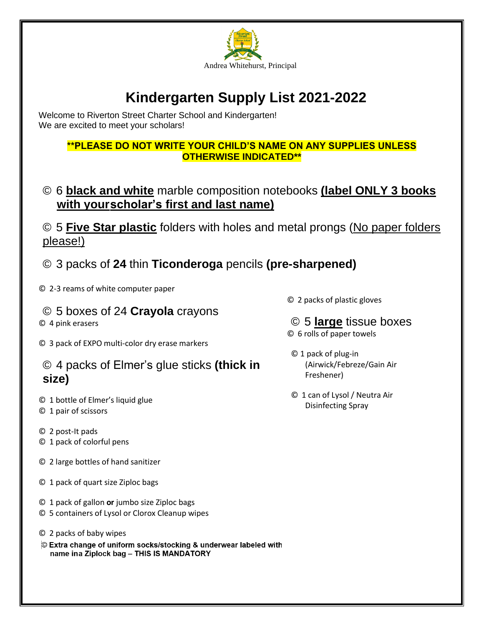

# **Kindergarten Supply List 2021-2022**

Welcome to Riverton Street Charter School and Kindergarten! We are excited to meet your scholars!

## **\*\*PLEASE DO NOT WRITE YOUR CHILD'S NAME ON ANY SUPPLIES UNLESS OTHERWISE INDICATED\*\***

© 6 **black and white** marble composition notebooks **(label ONLY 3 books with yourscholar's first and last name)**

© 5 **Five Star plastic** folders with holes and metal prongs (No paper folders please!)

# © 3 packs of **24** thin **Ticonderoga** pencils **(pre-sharpened)**

© 2-3 reams of white computer paper

# © 5 boxes of 24 **Crayola** crayons

© 4 pink erasers

© 3 pack of EXPO multi-color dry erase markers

# © 4 packs of Elmer's glue sticks **(thick in size)**

- © 1 bottle of Elmer's liquid glue
- © 1 pair of scissors
- © 2 post-It pads
- © 1 pack of colorful pens
- © 2 large bottles of hand sanitizer
- © 1 pack of quart size Ziploc bags
- © 1 pack of gallon **or** jumbo size Ziploc bags
- © 5 containers of Lysol or Clorox Cleanup wipes
- © 2 packs of baby wipes
- © Extra change of uniform socks/stocking & underwear labeled with name ina Ziplock bag - THIS IS MANDATORY
- © 2 packs of plastic gloves
- © 5 **large** tissue boxes © 6 rolls of paper towels
- © 1 pack of plug-in (Airwick/Febreze/Gain Air Freshener)
- © 1 can of Lysol / Neutra Air Disinfecting Spray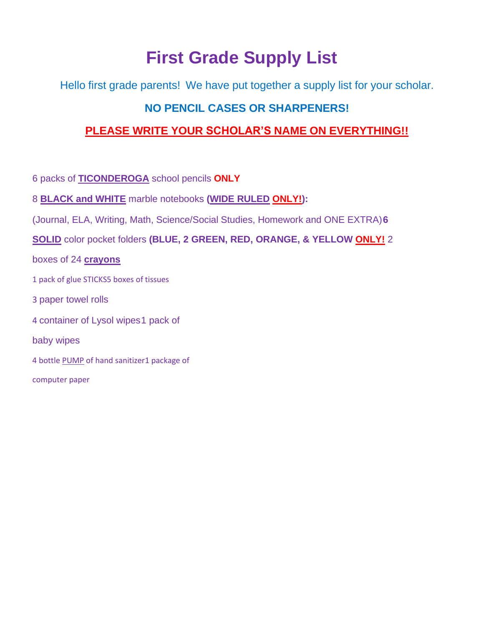# **First Grade Supply List**

Hello first grade parents! We have put together a supply list for your scholar.

# **NO PENCIL CASES OR SHARPENERS!**

# **PLEASE WRITE YOUR SCHOLAR'S NAME ON EVERYTHING!!**

6 packs of **TICONDEROGA** school pencils **ONLY**

8 **BLACK and WHITE** marble notebooks **(WIDE RULED ONLY!):**

(Journal, ELA, Writing, Math, Science/Social Studies, Homework and ONE EXTRA)**6**

**SOLID** color pocket folders **(BLUE, 2 GREEN, RED, ORANGE, & YELLOW ONLY!** 2

boxes of 24 **crayons**

- 1 pack of glue STICKS5 boxes of tissues
- 3 paper towel rolls
- 4 container of Lysol wipes1 pack of
- baby wipes
- 4 bottle PUMP of hand sanitizer1 package of

computer paper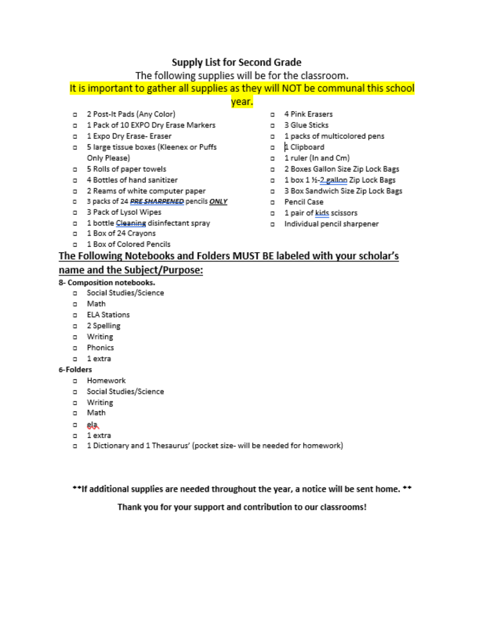## Supply List for Second Grade

The following supplies will be for the classroom.

## It is important to gather all supplies as they will NOT be communal this school

## vear.

- 0 2 Post-It Pads (Any Color)
- 0 1 Pack of 10 EXPO Dry Erase Markers
- 0 1 Expo Dry Erase- Eraser
- a 5 large tissue boxes (Kleenex or Puffs Only Please)
- D 5 Rolls of paper towels
- n 4 Bottles of hand sanitizer
- D 2 Reams of white computer paper
- 0 3 packs of 24 PRE SHARPENED pencils ONLY
- a 3 Pack of Lysol Wipes
- 0 1 bottle Cleaning disinfectant spray
- 0 1 Box of 24 Crayons
- a 1 Box of Colored Pencils
- a 4 Pink Erasers
- D 3 Glue Sticks
- a 1 packs of multicolored pens
- n 1 Clipboard
- 0 1 ruler (In and Cm)
- D 2 Boxes Gallon Size Zip Lock Bags
- 0 1 box 1 1/2-gallon Zip Lock Bags
- D 3 Box Sandwich Size Zip Lock Bags
- D Pencil Case
- D 1 pair of kids scissors
- a Individual pencil sharpener

# The Following Notebooks and Folders MUST BE labeled with your scholar's

### name and the Subject/Purpose:

#### 8- Composition notebooks.

- D Social Studies/Science
- n Math
- D ELA Stations
- a 2 Spelling
- a Writing
- a Phonics
- n 1 extra

#### 6-Folders

- a Homework
- D Social Studies/Science
- a Writing
- o Math
- $=$  ela
- n 1 extra
- a 1 Dictionary and 1 Thesaurus' (pocket size- will be needed for homework)

\*\*If additional supplies are needed throughout the year, a notice will be sent home. \*\*

### Thank you for your support and contribution to our classrooms!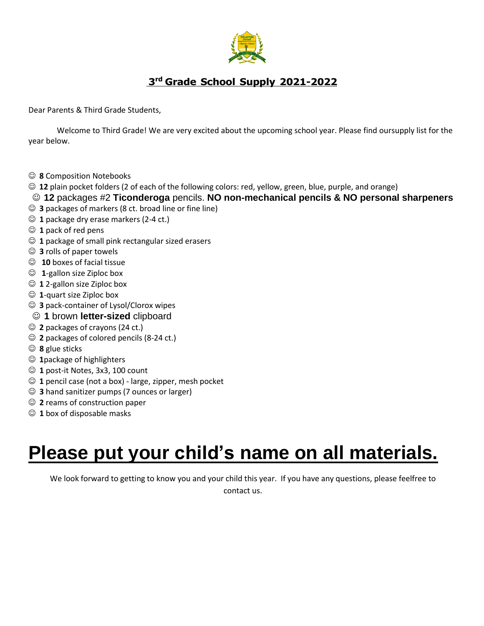

# **3 rd Grade School Supply 2021-2022**

Dear Parents & Third Grade Students,

Welcome to Third Grade! We are very excited about the upcoming school year. Please find oursupply list for the year below.

- ☺ **8** Composition Notebooks
- ☺ **12** plain pocket folders (2 of each of the following colors: red, yellow, green, blue, purple, and orange)
- ☺ **12** packages #2 **Ticonderoga** pencils. **NO non-mechanical pencils & NO personal sharpeners**
- ☺ **3** packages of markers (8 ct. broad line or fine line)
- ☺ **1** package dry erase markers (2-4 ct.)
- ☺ **1** pack of red pens
- ☺ **1** package of small pink rectangular sized erasers
- ☺ **3** rolls of paper towels
- ☺ **10** boxes of facial tissue
- ☺ **1**-gallon size Ziploc box
- ☺ **1** 2-gallon size Ziploc box
- ☺ **1**-quart size Ziploc box
- ☺ **3** pack-container of Lysol/Clorox wipes
- ☺ **1** brown **letter-sized** clipboard
- ☺ **2** packages of crayons (24 ct.)
- ☺ **2** packages of colored pencils (8-24 ct.)
- ☺ **8** glue sticks
- ☺ **1**package of highlighters
- ☺ **1** post-it Notes, 3x3, 100 count
- ☺ **1** pencil case (not a box) large, zipper, mesh pocket
- ☺ **3** hand sanitizer pumps (7 ounces or larger)
- ☺ **2** reams of construction paper
- ☺ **1** box of disposable masks

# **Please put your child's name on all materials.**

We look forward to getting to know you and your child this year. If you have any questions, please feelfree to contact us.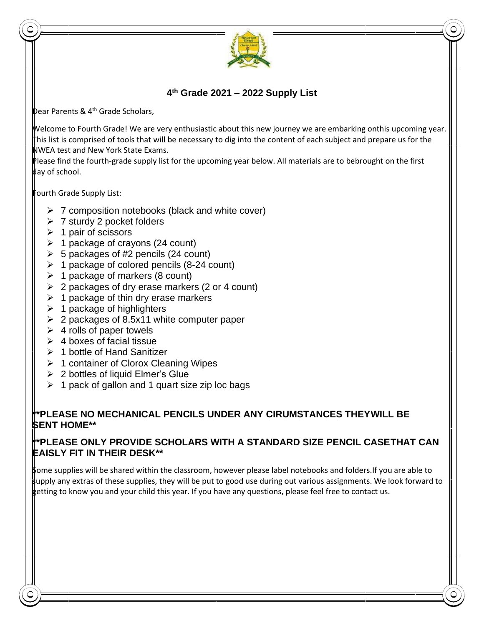

### **4 th Grade 2021 – 2022 Supply List**

Dear Parents & 4 th Grade Scholars,

Welcome to Fourth Grade! We are very enthusiastic about this new journey we are embarking onthis upcoming year. This list is comprised of tools that will be necessary to dig into the content of each subject and prepare us for the NWEA test and New York State Exams.

Please find the fourth-grade supply list for the upcoming year below. All materials are to bebrought on the first day of school.

Fourth Grade Supply List:

- $\triangleright$  7 composition notebooks (black and white cover)
- ➢ 7 sturdy 2 pocket folders
- $\geq 1$  pair of scissors
- $\geq 1$  package of crayons (24 count)
- $\geq 5$  packages of #2 pencils (24 count)
- $\geq 1$  package of colored pencils (8-24 count)
- $\geq 1$  package of markers (8 count)
- $\geq 2$  packages of dry erase markers (2 or 4 count)
- $\geq 1$  package of thin dry erase markers
- $\geq 1$  package of highlighters
- $\geq 2$  packages of 8.5x11 white computer paper
- $\geq 4$  rolls of paper towels
- $\geq 4$  boxes of facial tissue
- ➢ 1 bottle of Hand Sanitizer
- ➢ 1 container of Clorox Cleaning Wipes
- $\geq 2$  bottles of liquid Elmer's Glue
- $\geq 1$  pack of gallon and 1 quart size zip loc bags

### **\*\*PLEASE NO MECHANICAL PENCILS UNDER ANY CIRUMSTANCES THEYWILL BE SENT HOME\*\***

#### **\*\*PLEASE ONLY PROVIDE SCHOLARS WITH A STANDARD SIZE PENCIL CASETHAT CAN EAISLY FIT IN THEIR DESK\*\***

Some supplies will be shared within the classroom, however please label notebooks and folders.If you are able to supply any extras of these supplies, they will be put to good use during out various assignments. We look forward to getting to know you and your child this year. If you have any questions, please feel free to contact us.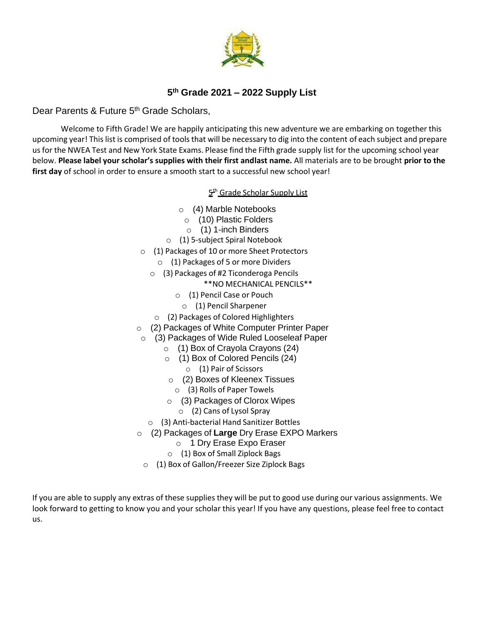

## **5 th Grade 2021 – 2022 Supply List**

### Dear Parents & Future 5<sup>th</sup> Grade Scholars,

Welcome to Fifth Grade! We are happily anticipating this new adventure we are embarking on together this upcoming year! Thislist is comprised of tools that will be necessary to dig into the content of each subject and prepare us for the NWEA Test and New York State Exams. Please find the Fifth grade supply list for the upcoming school year below. **Please label your scholar's supplies with their first andlast name.** All materials are to be brought **prior to the first day** of school in order to ensure a smooth start to a successful new school year!

5 th Grade Scholar Supply List

- o (4) Marble Notebooks
	- o (10) Plastic Folders
	- o (1) 1-inch Binders
- o (1) 5-subject Spiral Notebook
- o (1) Packages of 10 or more Sheet Protectors
	- $\circ$  (1) Packages of 5 or more Dividers
	- o (3) Packages of #2 Ticonderoga Pencils
		- \*\*NO MECHANICAL PENCILS\*\*
		- o (1) Pencil Case or Pouch
			- o (1) Pencil Sharpener
		- o (2) Packages of Colored Highlighters
- o (2) Packages of White Computer Printer Paper
	- o (3) Packages of Wide Ruled Looseleaf Paper
		- o (1) Box of Crayola Crayons (24)
		- o (1) Box of Colored Pencils (24)
			- o (1) Pair of Scissors
		- o (2) Boxes of Kleenex Tissues
			- o (3) Rolls of Paper Towels
		- o (3) Packages of Clorox Wipes
			- o (2) Cans of Lysol Spray
		- o (3) Anti-bacterial Hand Sanitizer Bottles
- o (2) Packages of **Large** Dry Erase EXPO Markers
	- o 1 Dry Erase Expo Eraser
	- o (1) Box of Small Ziplock Bags
	- o (1) Box of Gallon/Freezer Size Ziplock Bags

If you are able to supply any extras of these supplies they will be put to good use during our various assignments. We look forward to getting to know you and your scholar this year! If you have any questions, please feel free to contact us.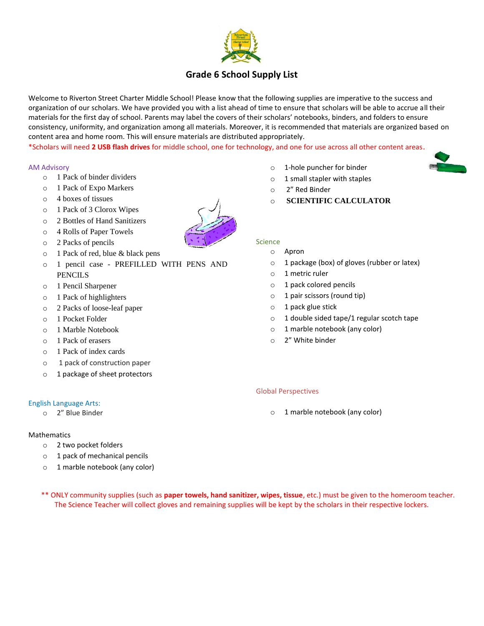

## **Grade 6 School Supply List**

Welcome to Riverton Street Charter Middle School! Please know that the following supplies are imperative to the success and organization of our scholars. We have provided you with a list ahead of time to ensure that scholars will be able to accrue all their materials for the first day of school. Parents may label the covers of their scholars' notebooks, binders, and folders to ensure consistency, uniformity, and organization among all materials. Moreover, it is recommended that materials are organized based on content area and home room. This will ensure materials are distributed appropriately.

\*Scholars will need **2 USB flash drives** for middle school, one for technology, and one for use across all other content areas.

#### AM Advisory

- o 1 Pack of binder dividers
- o 1 Pack of Expo Markers
- o 4 boxes of tissues
- o 1 Pack of 3 Clorox Wipes
- o 2 Bottles of Hand Sanitizers
- o 4 Rolls of Paper Towels
- o 2 Packs of pencils
- o 1 Pack of red, blue & black pens
- o 1 pencil case PREFILLED WITH PENS AND PENCILS
- o 1 Pencil Sharpener
- o 1 Pack of highlighters
- o 2 Packs of loose-leaf paper
- o 1 Pocket Folder
- o 1 Marble Notebook
- o 1 Pack of erasers
- o 1 Pack of index cards
- o 1 pack of construction paper
- o 1 package of sheet protectors

#### English Language Arts:

o 2" Blue Binder

#### Mathematics

- o 2 two pocket folders
- o 1 pack of mechanical pencils
- o 1 marble notebook (any color)
- o 1-hole puncher for binder
- o 1 small stapler with staples
- o 2" Red Binder
- o **SCIENTIFIC CALCULATOR**

#### Science

- o Apron
- o 1 package (box) of gloves (rubber or latex)
- o 1 metric ruler
- o 1 pack colored pencils
- o 1 pair scissors (round tip)
- o 1 pack glue stick
- o 1 double sided tape/1 regular scotch tape
- o 1 marble notebook (any color)
- o 2" White binder

#### Global Perspectives

o 1 marble notebook (any color)

 \*\* ONLY community supplies (such as **paper towels, hand sanitizer, wipes, tissue**, etc.) must be given to the homeroom teacher. The Science Teacher will collect gloves and remaining supplies will be kept by the scholars in their respective lockers.